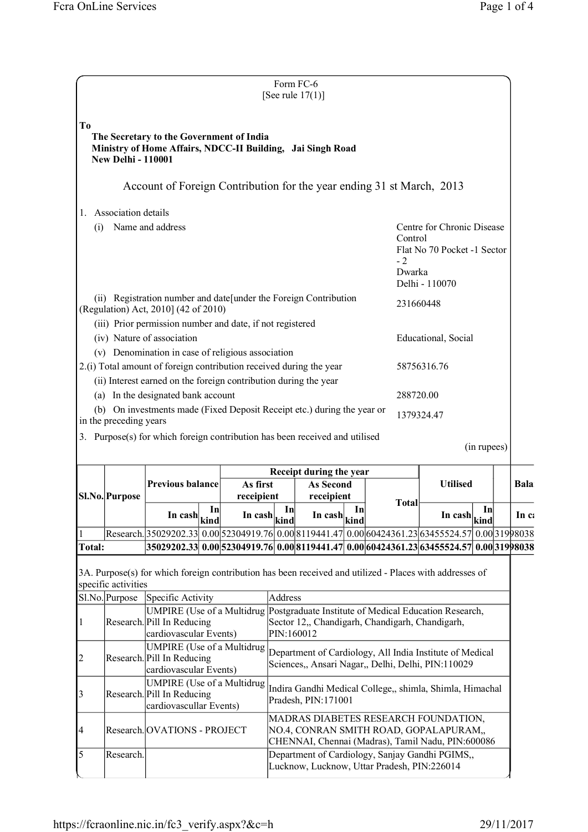|                                                        |                           |                                                                                                                                                                                                    |  |                                                                                        |         | Form FC-6<br>[See rule $17(1)$ ]                                                                                                                                                       |  |  |           |                |                                                        |             |               |
|--------------------------------------------------------|---------------------------|----------------------------------------------------------------------------------------------------------------------------------------------------------------------------------------------------|--|----------------------------------------------------------------------------------------|---------|----------------------------------------------------------------------------------------------------------------------------------------------------------------------------------------|--|--|-----------|----------------|--------------------------------------------------------|-------------|---------------|
| To                                                     | <b>New Delhi - 110001</b> | The Secretary to the Government of India<br>Ministry of Home Affairs, NDCC-II Building, Jai Singh Road                                                                                             |  |                                                                                        |         |                                                                                                                                                                                        |  |  |           |                |                                                        |             |               |
|                                                        |                           | Account of Foreign Contribution for the year ending 31 st March, 2013                                                                                                                              |  |                                                                                        |         |                                                                                                                                                                                        |  |  |           |                |                                                        |             |               |
| 1.                                                     | Association details       |                                                                                                                                                                                                    |  |                                                                                        |         |                                                                                                                                                                                        |  |  |           |                |                                                        |             |               |
| (i)                                                    |                           | Name and address                                                                                                                                                                                   |  | Centre for Chronic Disease<br>Control<br>Flat No 70 Pocket -1 Sector<br>$-2$<br>Dwarka |         |                                                                                                                                                                                        |  |  |           |                |                                                        |             |               |
|                                                        |                           |                                                                                                                                                                                                    |  |                                                                                        |         |                                                                                                                                                                                        |  |  |           | Delhi - 110070 |                                                        |             |               |
|                                                        |                           | (ii) Registration number and date [under the Foreign Contribution<br>(Regulation) Act, 2010] (42 of 2010)                                                                                          |  |                                                                                        |         |                                                                                                                                                                                        |  |  |           | 231660448      |                                                        |             |               |
|                                                        |                           | (iii) Prior permission number and date, if not registered<br>(iv) Nature of association                                                                                                            |  |                                                                                        |         |                                                                                                                                                                                        |  |  |           |                | Educational, Social                                    |             |               |
|                                                        |                           | (v) Denomination in case of religious association<br>2.(i) Total amount of foreign contribution received during the year                                                                           |  |                                                                                        |         |                                                                                                                                                                                        |  |  |           | 58756316.76    |                                                        |             |               |
|                                                        |                           | (ii) Interest earned on the foreign contribution during the year                                                                                                                                   |  |                                                                                        |         |                                                                                                                                                                                        |  |  |           |                |                                                        |             |               |
|                                                        |                           | (a) In the designated bank account<br>(b) On investments made (Fixed Deposit Receipt etc.) during the year or                                                                                      |  |                                                                                        |         |                                                                                                                                                                                        |  |  | 288720.00 |                |                                                        |             |               |
|                                                        | in the preceding years    |                                                                                                                                                                                                    |  |                                                                                        |         |                                                                                                                                                                                        |  |  |           | 1379324.47     |                                                        |             |               |
|                                                        |                           |                                                                                                                                                                                                    |  |                                                                                        |         |                                                                                                                                                                                        |  |  |           |                |                                                        |             |               |
|                                                        |                           | 3. Purpose(s) for which foreign contribution has been received and utilised                                                                                                                        |  |                                                                                        |         |                                                                                                                                                                                        |  |  |           |                |                                                        | (in rupees) |               |
|                                                        |                           |                                                                                                                                                                                                    |  |                                                                                        |         | Receipt during the year                                                                                                                                                                |  |  |           |                |                                                        |             |               |
|                                                        | SI.No. Purpose            | <b>Previous balance</b>                                                                                                                                                                            |  | As first<br>receipient                                                                 |         | <b>As Second</b><br>receipient                                                                                                                                                         |  |  |           |                | <b>Utilised</b>                                        |             |               |
|                                                        |                           | In cash $\left \frac{\text{kind}}{\text{kind}}\right $                                                                                                                                             |  | In $\cosh\left \frac{\sinh\theta}{\sinh\theta}\right $                                 |         | In cash $\left \lim_{k \to \infty} \right $                                                                                                                                            |  |  | Total     |                | In cash $\left \frac{\text{kind}}{\text{kind}}\right $ |             | Bala<br>In c: |
|                                                        |                           | Research. 35029202.33 0.00 52304919.76 0.00 8119441.47 0.00 60424361.23 63455524.57 0.00 319 98038                                                                                                 |  |                                                                                        |         |                                                                                                                                                                                        |  |  |           |                |                                                        |             |               |
|                                                        | specific activities       | 35029202.33 0.00 52304919.76 0.00 8119441.47 0.00 60424361.23 63455524.57 0.00 31998038<br>3A. Purpose(s) for which foreign contribution has been received and utilized - Places with addresses of |  |                                                                                        |         |                                                                                                                                                                                        |  |  |           |                |                                                        |             |               |
|                                                        | $SI.No$ . Purpose         | Specific Activity<br>UMPIRE (Use of a Multidrug Postgraduate Institute of Medical Education Research,<br>Research. Pill In Reducing<br>cardiovascular Events)                                      |  |                                                                                        | Address | Sector 12,, Chandigarh, Chandigarh, Chandigarh,<br>PIN:160012                                                                                                                          |  |  |           |                |                                                        |             |               |
|                                                        |                           | <b>UMPIRE</b> (Use of a Multidrug<br>Research. Pill In Reducing<br>cardiovascular Events)                                                                                                          |  |                                                                                        |         | Department of Cardiology, All India Institute of Medical<br>Sciences,, Ansari Nagar,, Delhi, Delhi, PIN:110029                                                                         |  |  |           |                |                                                        |             |               |
|                                                        |                           | <b>UMPIRE</b> (Use of a Multidrug<br>Research. Pill In Reducing<br>cardiovascullar Events)                                                                                                         |  |                                                                                        |         | Indira Gandhi Medical College,, shimla, Shimla, Himachal<br>Pradesh, PIN:171001                                                                                                        |  |  |           |                |                                                        |             |               |
| <b>Total:</b><br> 1<br> 2<br>3<br> 4<br>$\overline{5}$ |                           | Research. OVATIONS - PROJECT                                                                                                                                                                       |  |                                                                                        |         | MADRAS DIABETES RESEARCH FOUNDATION,<br>NO.4, CONRAN SMITH ROAD, GOPALAPURAM,,<br>CHENNAI, Chennai (Madras), Tamil Nadu, PIN:600086<br>Department of Cardiology, Sanjay Gandhi PGIMS,, |  |  |           |                |                                                        |             |               |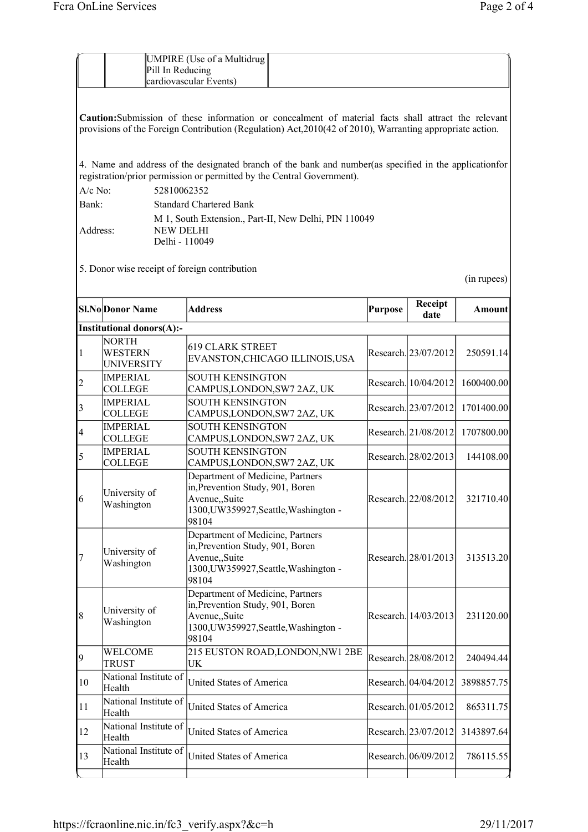UMPIRE (Use of a Multidrug

Pill In Reducing cardiovascular Events)

|                |                                                     | 4. Name and address of the designated branch of the bank and number (as specified in the application for<br>registration/prior permission or permitted by the Central Government). |         |                      |             |
|----------------|-----------------------------------------------------|------------------------------------------------------------------------------------------------------------------------------------------------------------------------------------|---------|----------------------|-------------|
| $A/c$ No:      | 52810062352                                         |                                                                                                                                                                                    |         |                      |             |
| Bank:          |                                                     | <b>Standard Chartered Bank</b>                                                                                                                                                     |         |                      |             |
|                |                                                     | M 1, South Extension., Part-II, New Delhi, PIN 110049                                                                                                                              |         |                      |             |
| Address:       | <b>NEW DELHI</b><br>Delhi - 110049                  |                                                                                                                                                                                    |         |                      |             |
|                | 5. Donor wise receipt of foreign contribution       |                                                                                                                                                                                    |         |                      | (in rupees) |
|                | <b>Sl.No</b> Donor Name                             | <b>Address</b>                                                                                                                                                                     | Purpose | Receipt<br>date      | Amount      |
|                | Institutional donors(A):-                           |                                                                                                                                                                                    |         |                      |             |
| 1              | <b>NORTH</b><br><b>WESTERN</b><br><b>UNIVERSITY</b> | <b>619 CLARK STREET</b><br>EVANSTON, CHICAGO ILLINOIS, USA                                                                                                                         |         | Research. 23/07/2012 | 250591.14   |
| $\overline{c}$ | <b>IMPERIAL</b><br><b>COLLEGE</b>                   | <b>SOUTH KENSINGTON</b><br>CAMPUS, LONDON, SW7 2AZ, UK                                                                                                                             |         | Research. 10/04/2012 | 1600400.00  |
| 3              | <b>IMPERIAL</b><br><b>COLLEGE</b>                   | <b>SOUTH KENSINGTON</b><br>CAMPUS, LONDON, SW7 2AZ, UK                                                                                                                             |         | Research. 23/07/2012 | 1701400.00  |
| $\overline{4}$ | <b>IMPERIAL</b><br><b>COLLEGE</b>                   | <b>SOUTH KENSINGTON</b><br>CAMPUS, LONDON, SW7 2AZ, UK                                                                                                                             |         | Research. 21/08/2012 | 1707800.00  |
| 5              | <b>IMPERIAL</b><br><b>COLLEGE</b>                   | <b>SOUTH KENSINGTON</b><br>CAMPUS, LONDON, SW7 2AZ, UK                                                                                                                             |         | Research. 28/02/2013 | 144108.00   |
| 6              | University of<br>Washington                         | Department of Medicine, Partners<br>in, Prevention Study, 901, Boren<br>Avenue,,Suite<br>1300, UW359927, Seattle, Washington -<br>98104                                            |         | Research. 22/08/2012 | 321710.40   |
| $\overline{7}$ | University of<br>Washington                         | Department of Medicine, Partners<br>in, Prevention Study, 901, Boren<br>Avenue,,Suite<br>1300, UW359927, Seattle, Washington -<br>98104                                            |         | Research. 28/01/2013 | 313513.20   |
| 8              | University of<br>Washington                         | Department of Medicine, Partners<br>in, Prevention Study, 901, Boren<br>Avenue,,Suite<br>1300, UW359927, Seattle, Washington -<br>98104                                            |         | Research. 14/03/2013 | 231120.00   |
| 9              | WELCOME<br><b>TRUST</b>                             | 215 EUSTON ROAD, LONDON, NW1 2BE<br>UK                                                                                                                                             |         | Research. 28/08/2012 | 240494.44   |
| 10             | National Institute of<br>Health                     | <b>United States of America</b>                                                                                                                                                    |         | Research. 04/04/2012 | 3898857.75  |
| 11             | National Institute of<br>Health                     | United States of America                                                                                                                                                           |         | Research. 01/05/2012 | 865311.75   |
| 12             | National Institute of<br>Health                     | United States of America                                                                                                                                                           |         | Research. 23/07/2012 | 3143897.64  |
| 13             | National Institute of<br>Health                     | United States of America                                                                                                                                                           |         | Research. 06/09/2012 | 786115.55   |

**Caution:**Submission of these information or concealment of material facts shall attract the relevant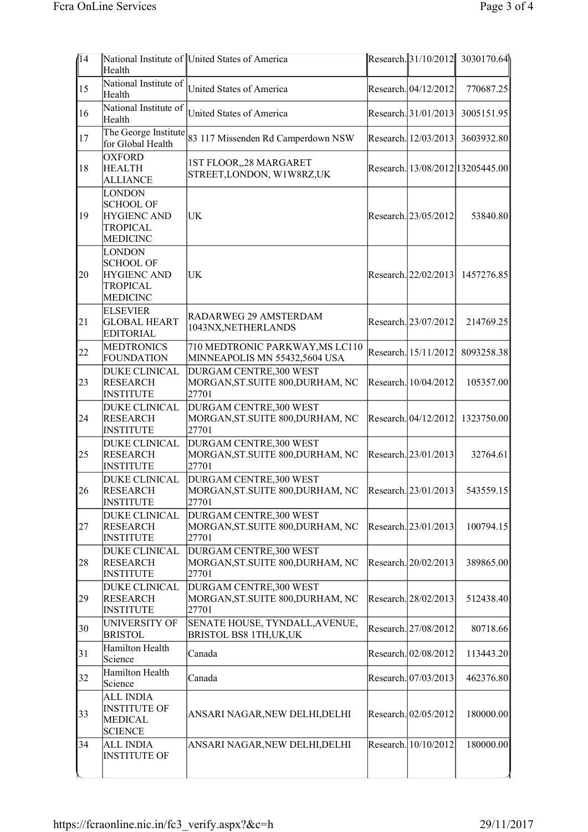| $\sqrt{14}$ | Health                                                                                        | National Institute of United States of America                        |                      | Research. 31/10/2012 3030170.64  |
|-------------|-----------------------------------------------------------------------------------------------|-----------------------------------------------------------------------|----------------------|----------------------------------|
| 15          | National Institute of<br>Health                                                               | <b>United States of America</b>                                       | Research. 04/12/2012 | 770687.25                        |
| 16          | National Institute of<br>Health                                                               | <b>United States of America</b>                                       | Research. 31/01/2013 | 3005151.95                       |
| 17          | The George Institute<br>for Global Health                                                     | 83 117 Missenden Rd Camperdown NSW                                    | Research. 12/03/2013 | 3603932.80                       |
| 18          | <b>OXFORD</b><br><b>HEALTH</b><br><b>ALLIANCE</b>                                             | 1ST FLOOR,,28 MARGARET<br>STREET, LONDON, W1W8RZ, UK                  |                      | Research. 13/08/2012 13205445.00 |
| 19          | <b>LONDON</b><br><b>SCHOOL OF</b><br><b>HYGIENC AND</b><br><b>TROPICAL</b><br><b>MEDICINC</b> | UK                                                                    | Research. 23/05/2012 | 53840.80                         |
| 20          | <b>LONDON</b><br><b>SCHOOL OF</b><br><b>HYGIENC AND</b><br><b>TROPICAL</b><br><b>MEDICINC</b> | UK                                                                    | Research. 22/02/2013 | 1457276.85                       |
| 21          | <b>ELSEVIER</b><br><b>GLOBAL HEART</b><br><b>EDITORIAL</b>                                    | RADARWEG 29 AMSTERDAM<br>1043NX, NETHERLANDS                          | Research. 23/07/2012 | 214769.25                        |
| 22          | <b>MEDTRONICS</b><br><b>FOUNDATION</b>                                                        | 710 MEDTRONIC PARKWAY, MS LC110<br>MINNEAPOLIS MN 55432,5604 USA      | Research. 15/11/2012 | 8093258.38                       |
| 23          | <b>DUKE CLINICAL</b><br><b>RESEARCH</b><br><b>INSTITUTE</b>                                   | DURGAM CENTRE, 300 WEST<br>MORGAN, ST. SUITE 800, DURHAM, NC<br>27701 | Research. 10/04/2012 | 105357.00                        |
| 24          | <b>DUKE CLINICAL</b><br><b>RESEARCH</b><br><b>INSTITUTE</b>                                   | DURGAM CENTRE, 300 WEST<br>MORGAN, ST. SUITE 800, DURHAM, NC<br>27701 | Research. 04/12/2012 | 1323750.00                       |
| 25          | <b>DUKE CLINICAL</b><br><b>RESEARCH</b><br><b>INSTITUTE</b>                                   | DURGAM CENTRE, 300 WEST<br>MORGAN, ST. SUITE 800, DURHAM, NC<br>27701 | Research. 23/01/2013 | 32764.61                         |
| 26          | <b>DUKE CLINICAL</b><br><b>RESEARCH</b><br><b>INSTITUTE</b>                                   | DURGAM CENTRE, 300 WEST<br>MORGAN, ST. SUITE 800, DURHAM, NC<br>27701 | Research. 23/01/2013 | 543559.15                        |
| 27          | <b>DUKE CLINICAL</b><br><b>RESEARCH</b><br><b>INSTITUTE</b>                                   | DURGAM CENTRE, 300 WEST<br>MORGAN, ST. SUITE 800, DURHAM, NC<br>27701 | Research. 23/01/2013 | 100794.15                        |
| 28          | <b>DUKE CLINICAL</b><br><b>RESEARCH</b><br><b>INSTITUTE</b>                                   | DURGAM CENTRE, 300 WEST<br>MORGAN, ST. SUITE 800, DURHAM, NC<br>27701 | Research. 20/02/2013 | 389865.00                        |
| 29          | <b>DUKE CLINICAL</b><br><b>RESEARCH</b><br><b>INSTITUTE</b>                                   | DURGAM CENTRE, 300 WEST<br>MORGAN, ST. SUITE 800, DURHAM, NC<br>27701 | Research. 28/02/2013 | 512438.40                        |
| 30          | <b>UNIVERSITY OF</b><br><b>BRISTOL</b>                                                        | SENATE HOUSE, TYNDALL, AVENUE,<br>BRISTOL BS8 1TH, UK, UK             | Research. 27/08/2012 | 80718.66                         |
| 31          | Hamilton Health<br>Science                                                                    | Canada                                                                | Research. 02/08/2012 | 113443.20                        |
| 32          | Hamilton Health<br>Science                                                                    | Canada                                                                | Research. 07/03/2013 | 462376.80                        |
| 33          | <b>ALL INDIA</b><br><b>INSTITUTE OF</b><br><b>MEDICAL</b><br><b>SCIENCE</b>                   | ANSARI NAGAR, NEW DELHI, DELHI                                        | Research. 02/05/2012 | 180000.00                        |
| 34          | <b>ALL INDIA</b><br><b>INSTITUTE OF</b>                                                       | ANSARI NAGAR, NEW DELHI, DELHI                                        | Research. 10/10/2012 | 180000.00                        |
|             |                                                                                               |                                                                       |                      |                                  |